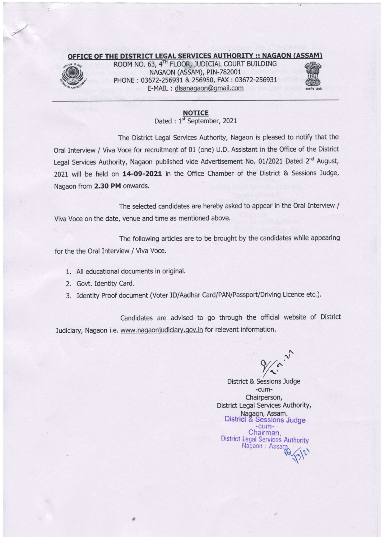## OFFICE OF THE DISTRICT LEGAL SERVICES AUTHORITY :: NAGAON (ASSAM)



ROOM NO. 63, 4" FLOOR, JUDICIAL COURT BUILDING<br>NAGAON (ASSAM), PIN-782001<br>PHONE : 03672-256931 & 256950, FAX : 03672-256931<br>E-MAIL : dlsanagaon@gmail.com ROOM NO. 63, 4TH FLOOR, JUDICIAL COURT BUILDING NAGAON (ASSAM), PIN-782001 PHONE : 03672-256931 & 256950, FAX :03672-256931 E-MAIL : dlsanaoaon@omail.com



## **NOTICE**

Dated : 1<sup>st</sup> September, 2021

The District Legal Services Authority, Nagaon is pleased to notify that the Oral Interview / Viva Voce for recruitment of 01 (one) U.D. Assistant in the Office of the District Legal Services Authority, Nagaon published vide Advertisement No. 01/2021 Dated 2<sup>nd</sup> August, 2021 will be held on 14-09-2021 in the Office Chamber of the District & Sessions Judge, Nagaon from 2.30 PM onwards.

The selected candidates are hereby asked to appear in the Oral Interview / Viva Voce on the date, venue and time as mentioned above.

The following articles are to be brought by the candidates while appearing for the the Oral Interview / Viva Voce.

1. All educational documents in original.

a

- 2. Govt. Identity Card.
- 3. Identity Proof document (Voter lD/Aadhar Card/PAN/Passport/Driving Licence etc.).

Candidates are advised to go through the official website of District Judiciary, Nagaon i.e. www.nagaonjudiciary.gov.in for relevant information.

 $\frac{1}{\sqrt{2}}$ 

District & Sessions Judge -cum-Chairperson, District Legal Services Authority, Nagaon, Assam.<br>District & Sessions Judge -cum-Chairman. District Legal Services Authority Nagaon : Assarp  $\sqrt{\,}$